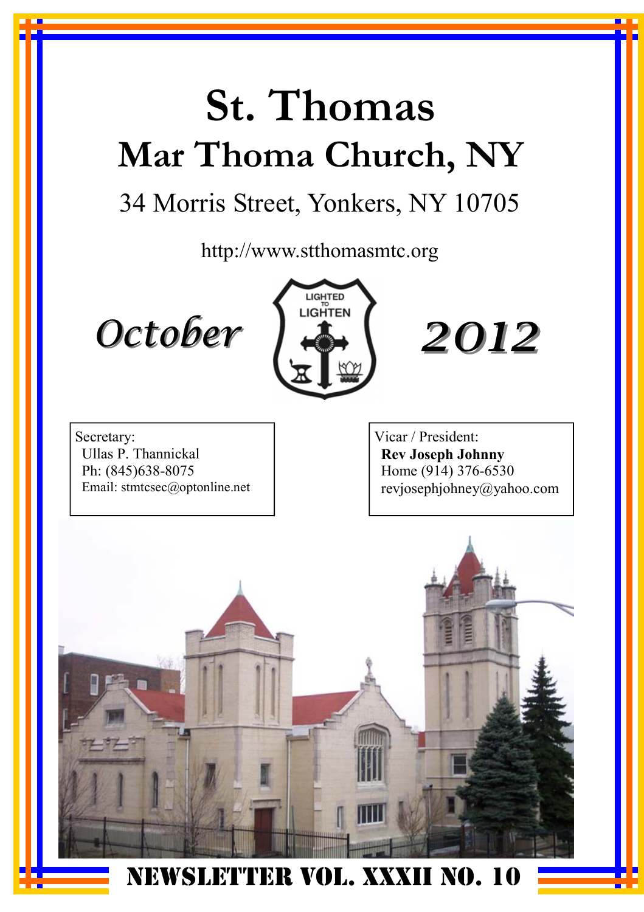# **St. Thomas Mar Thoma Church, NY**

# 34 Morris Street, Yonkers, NY 10705

http://www.stthomasmtc.org







Secretary: Ullas P. Thannickal Ph: (845)638-8075 Email: stmtcsec@optonline.net Vicar / President: **Rev Joseph Johnny**  Home (914) 376-6530 revjosephjohney@yahoo.com



NEWSLETTER VOL. XXXII NO. 10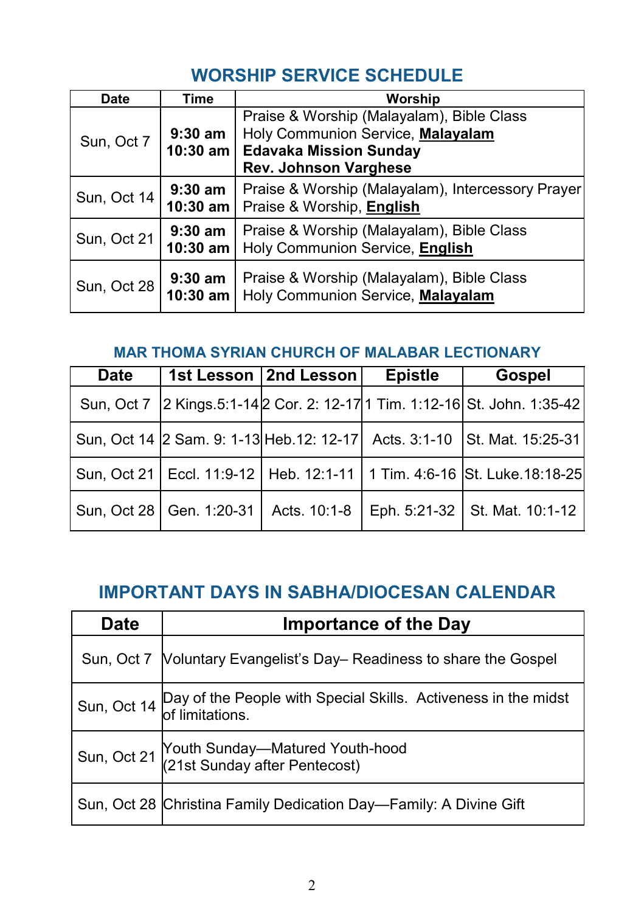#### **WORSHIP SERVICE SCHEDULE**

| <b>Date</b>                                                                                          | Time                    | Worship                                                                        |
|------------------------------------------------------------------------------------------------------|-------------------------|--------------------------------------------------------------------------------|
| $9:30$ am<br>Sun, Oct 7<br>10:30 am<br><b>Edavaka Mission Sunday</b><br><b>Rev. Johnson Varghese</b> |                         | Praise & Worship (Malayalam), Bible Class<br>Holy Communion Service, Malayalam |
| Sun, Oct 14                                                                                          | $9:30$ am<br>$10:30$ am | Praise & Worship (Malayalam), Intercessory Prayer<br>Praise & Worship, English |
| Sun, Oct 21                                                                                          | $9:30$ am<br>$10:30$ am | Praise & Worship (Malayalam), Bible Class<br>Holy Communion Service, English   |
| Sun, Oct 28                                                                                          | $9:30$ am<br>$10:30$ am | Praise & Worship (Malayalam), Bible Class<br>Holy Communion Service, Malayalam |

#### **MAR THOMA SYRIAN CHURCH OF MALABAR LECTIONARY**

| <b>Date</b> |                            | 1st Lesson   2nd Lesson | <b>Epistle</b> | <b>Gospel</b>                                                                   |
|-------------|----------------------------|-------------------------|----------------|---------------------------------------------------------------------------------|
| Sun. Oct 7  |                            |                         |                | 2 Kings.5:1-14 2 Cor. 2: 12-17 1 Tim. 1:12-16 St. John. 1:35-42                 |
|             |                            |                         |                | Sun, Oct 14 2 Sam. 9: 1-13 Heb.12: 12-17 Acts. 3:1-10 St. Mat. 15:25-31         |
|             |                            |                         |                | Sun, Oct 21   Eccl. 11:9-12   Heb. 12:1-11   1 Tim. 4:6-16   St. Luke. 18:18-25 |
|             | Sun, Oct 28   Gen. 1:20-31 | Acts. 10:1-8            |                | Eph. 5:21-32 St. Mat. 10:1-12                                                   |

#### **IMPORTANT DAYS IN SABHA/DIOCESAN CALENDAR**

| <b>Date</b> | <b>Importance of the Day</b>                                                                  |  |  |  |
|-------------|-----------------------------------------------------------------------------------------------|--|--|--|
| Sun, Oct 7  | Voluntary Evangelist's Day– Readiness to share the Gospel                                     |  |  |  |
|             | Sun, Oct 14 Day of the People with Special Skills. Activeness in the midst<br>of limitations. |  |  |  |
|             | Sun, Oct 21 Youth Sunday—Matured Youth-hood<br>(21st Sunday after Pentecost)                  |  |  |  |
|             | Sun, Oct 28 Christina Family Dedication Day—Family: A Divine Gift                             |  |  |  |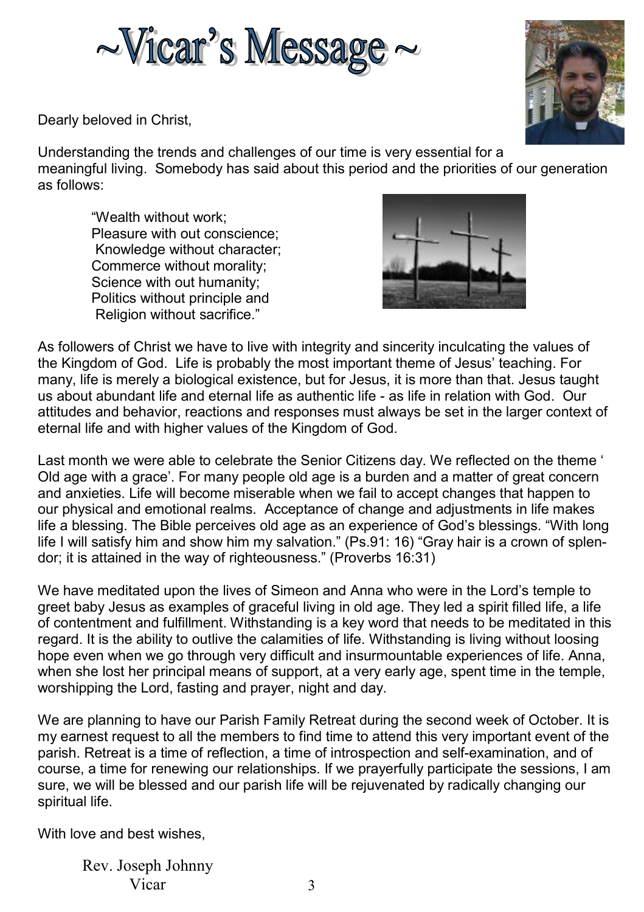



Dearly beloved in Christ,

Understanding the trends and challenges of our time is very essential for a meaningful living. Somebody has said about this period and the priorities of our generation as follows:

"Wealth without work; Pleasure with out conscience; Knowledge without character; Commerce without morality; Science with out humanity; Politics without principle and Religion without sacrifice."



As followers of Christ we have to live with integrity and sincerity inculcating the values of the Kingdom of God. Life is probably the most important theme of Jesus' teaching. For many, life is merely a biological existence, but for Jesus, it is more than that. Jesus taught us about abundant life and eternal life as authentic life - as life in relation with God. Our attitudes and behavior, reactions and responses must always be set in the larger context of eternal life and with higher values of the Kingdom of God.

Last month we were able to celebrate the Senior Citizens day. We reflected on the theme ' Old age with a grace'. For many people old age is a burden and a matter of great concern and anxieties. Life will become miserable when we fail to accept changes that happen to our physical and emotional realms. Acceptance of change and adjustments in life makes life a blessing. The Bible perceives old age as an experience of God's blessings. "With long life I will satisfy him and show him my salvation." (Ps.91: 16) "Gray hair is a crown of splendor; it is attained in the way of righteousness." (Proverbs 16:31)

We have meditated upon the lives of Simeon and Anna who were in the Lord's temple to greet baby Jesus as examples of graceful living in old age. They led a spirit filled life, a life of contentment and fulfillment. Withstanding is a key word that needs to be meditated in this regard. It is the ability to outlive the calamities of life. Withstanding is living without loosing hope even when we go through very difficult and insurmountable experiences of life. Anna, when she lost her principal means of support, at a very early age, spent time in the temple, worshipping the Lord, fasting and prayer, night and day.

We are planning to have our Parish Family Retreat during the second week of October. It is my earnest request to all the members to find time to attend this very important event of the parish. Retreat is a time of reflection, a time of introspection and self-examination, and of course, a time for renewing our relationships. If we prayerfully participate the sessions, I am sure, we will be blessed and our parish life will be rejuvenated by radically changing our spiritual life.

With love and best wishes,

Rev. Joseph Johnny Vicar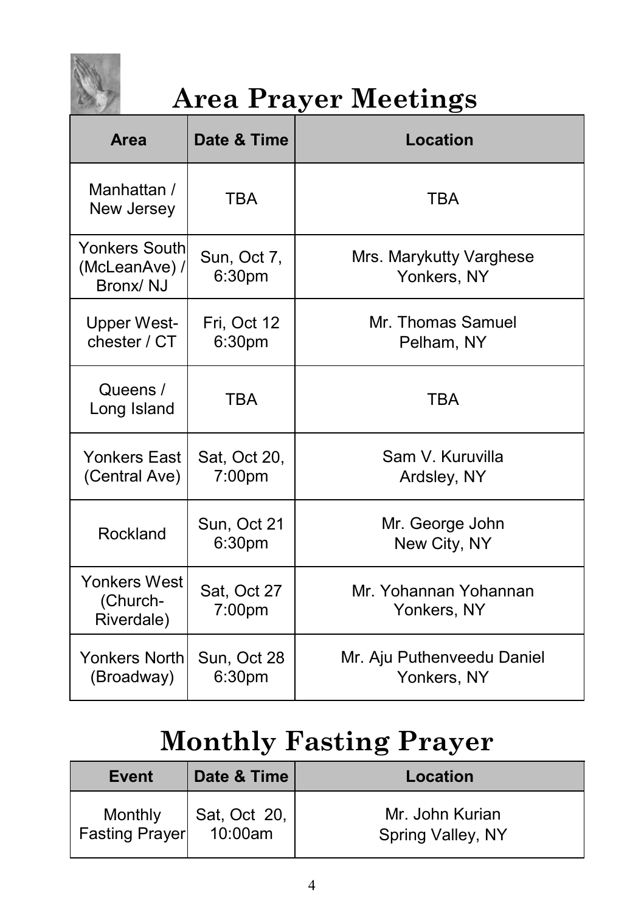

# **Area Prayer Meetings**

| Area                                              | Date & Time                       | Location                                  |
|---------------------------------------------------|-----------------------------------|-------------------------------------------|
| Manhattan /<br>New Jersey                         | TRA                               | <b>TBA</b>                                |
| <b>Yonkers South</b><br>(McLeanAve) /<br>Bronx/NJ | Sun, Oct 7,<br>6:30pm             | Mrs. Marykutty Varghese<br>Yonkers, NY    |
| <b>Upper West-</b><br>chester / CT                | Fri, Oct 12<br>6:30 <sub>pm</sub> | Mr. Thomas Samuel<br>Pelham, NY           |
| Queens /<br>Long Island                           | <b>TBA</b>                        | <b>TBA</b>                                |
| <b>Yonkers East</b><br>(Central Ave)              | Sat, Oct 20,<br>$7:00$ pm         | Sam V. Kuruvilla<br>Ardsley, NY           |
| Rockland                                          | Sun, Oct 21<br>6:30pm             | Mr. George John<br>New City, NY           |
| Yonkers West<br>(Church-<br>Riverdale)            | Sat, Oct 27<br>7:00 <sub>pm</sub> | Mr. Yohannan Yohannan<br>Yonkers, NY      |
| Yonkers Northl<br>(Broadway)                      | Sun, Oct 28<br>6:30 <sub>pm</sub> | Mr. Aju Puthenveedu Daniel<br>Yonkers, NY |

# **Monthly Fasting Prayer**

| Event                     | Date & Time             | Location                             |
|---------------------------|-------------------------|--------------------------------------|
| Monthly<br>Fasting Prayer | Sat, Oct 20,<br>10:00am | Mr. John Kurian<br>Spring Valley, NY |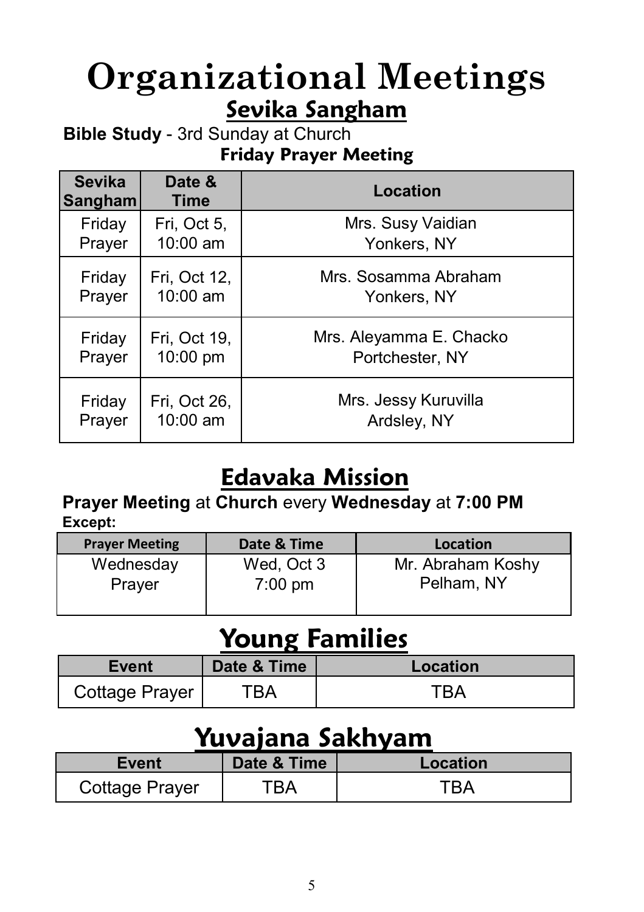# **Organizational Meetings Sevika Sangham**

**Bible Study** - 3rd Sunday at Church **Friday Prayer Meeting**

| <b>Sevika</b><br>Sangham | Date &<br><b>Time</b> | Location                |
|--------------------------|-----------------------|-------------------------|
| Friday                   | Fri, Oct 5,           | Mrs. Susy Vaidian       |
| Prayer                   | 10:00 am              | Yonkers, NY             |
| Friday                   | Fri, Oct 12,          | Mrs. Sosamma Abraham    |
| Prayer                   | 10:00 am              | Yonkers, NY             |
| Friday                   | Fri, Oct 19,          | Mrs. Aleyamma E. Chacko |
| Prayer                   | 10:00 pm              | Portchester, NY         |
| Friday                   | Fri, Oct 26,          | Mrs. Jessy Kuruvilla    |
| Prayer                   | 10:00 am              | Ardsley, NY             |

### **Edavaka Mission**

#### **Prayer Meeting** at **Church** every **Wednesday** at **7:00 PM Except:**

| <b>Prayer Meeting</b> | Date & Time       | Location          |
|-----------------------|-------------------|-------------------|
| Wednesday             | Wed, Oct 3        | Mr. Abraham Koshy |
| Prayer                | $7:00 \text{ pm}$ | Pelham, NY        |
|                       |                   |                   |

### **Young Families**

| Event          | Date & Time | Location |
|----------------|-------------|----------|
| Cottage Prayer |             |          |

### **Yuvajana Sakhyam**

| Event          | Date & Time | Location |
|----------------|-------------|----------|
| Cottage Prayer | `RA         | TRA      |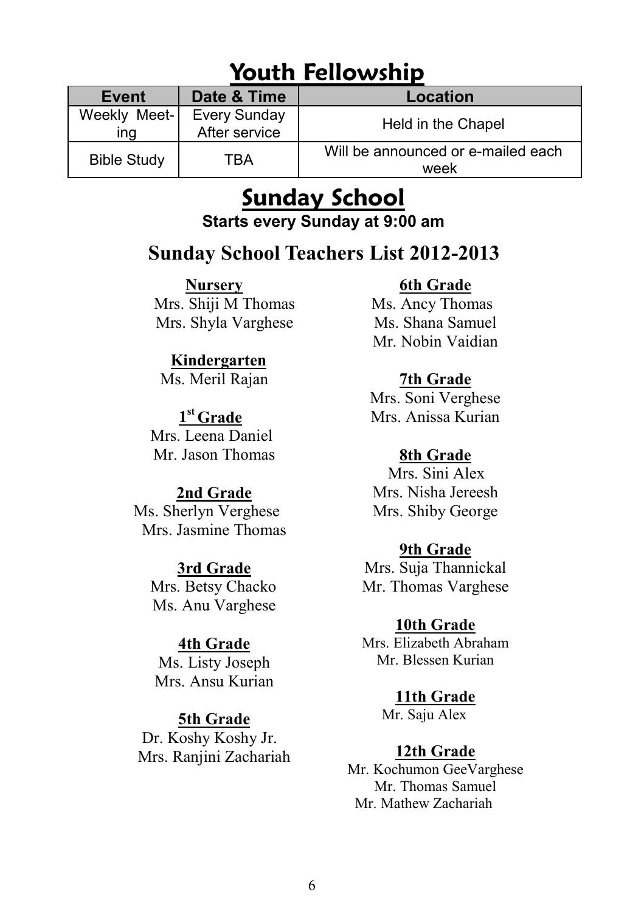### **Youth Fellowship**

| Date & Time<br>Event |                                      | Location                                   |  |  |  |
|----------------------|--------------------------------------|--------------------------------------------|--|--|--|
| Weekly Meet-<br>ına  | <b>Every Sunday</b><br>After service | Held in the Chapel                         |  |  |  |
| <b>Bible Study</b>   | TBA                                  | Will be announced or e-mailed each<br>week |  |  |  |

# **Sunday School**

**Starts every Sunday at 9:00 am** 

#### **Sunday School Teachers List 2012-2013**

**Nursery**

 Mrs. Shiji M Thomas Mrs. Shyla Varghese

#### **Kindergarten**

Ms. Meril Rajan

 **1st Grade**  Mrs. Leena Daniel Mr. Jason Thomas

#### **2nd Grade**

Ms. Sherlyn Verghese Mrs. Jasmine Thomas

#### **3rd Grade**

 Mrs. Betsy Chacko Ms. Anu Varghese

#### **4th Grade**

Ms. Listy Joseph Mrs. Ansu Kurian

#### **5th Grade**

 Dr. Koshy Koshy Jr. Mrs. Ranjini Zachariah

#### **6th Grade**

 Ms. Ancy Thomas Ms. Shana Samuel Mr. Nobin Vaidian

#### **7th Grade**

Mrs. Soni Verghese Mrs. Anissa Kurian

#### **8th Grade**

 Mrs. Sini Alex Mrs. Nisha Jereesh Mrs. Shiby George

#### **9th Grade**

Mrs. Suja Thannickal Mr. Thomas Varghese

#### **10th Grade**

Mrs. Elizabeth Abraham Mr. Blessen Kurian

#### **11th Grade**

Mr. Saju Alex

#### **12th Grade**

Mr. Kochumon GeeVarghese Mr. Thomas Samuel Mr. Mathew Zachariah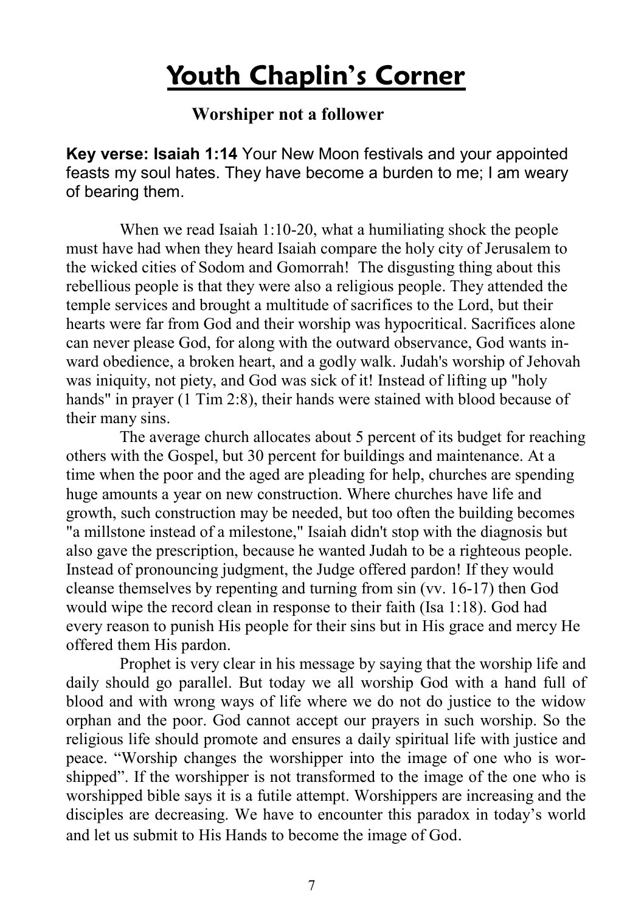### **Youth Chaplin's Corner**

#### **Worshiper not a follower**

**Key verse: Isaiah 1:14** Your New Moon festivals and your appointed feasts my soul hates. They have become a burden to me; I am weary of bearing them.

When we read Isaiah 1:10-20, what a humiliating shock the people must have had when they heard Isaiah compare the holy city of Jerusalem to the wicked cities of Sodom and Gomorrah! The disgusting thing about this rebellious people is that they were also a religious people. They attended the temple services and brought a multitude of sacrifices to the Lord, but their hearts were far from God and their worship was hypocritical. Sacrifices alone can never please God, for along with the outward observance, God wants inward obedience, a broken heart, and a godly walk. Judah's worship of Jehovah was iniquity, not piety, and God was sick of it! Instead of lifting up "holy hands" in prayer (1 Tim 2:8), their hands were stained with blood because of their many sins.

 The average church allocates about 5 percent of its budget for reaching others with the Gospel, but 30 percent for buildings and maintenance. At a time when the poor and the aged are pleading for help, churches are spending huge amounts a year on new construction. Where churches have life and growth, such construction may be needed, but too often the building becomes "a millstone instead of a milestone," Isaiah didn't stop with the diagnosis but also gave the prescription, because he wanted Judah to be a righteous people. Instead of pronouncing judgment, the Judge offered pardon! If they would cleanse themselves by repenting and turning from sin (vv. 16-17) then God would wipe the record clean in response to their faith (Isa 1:18). God had every reason to punish His people for their sins but in His grace and mercy He offered them His pardon.

 Prophet is very clear in his message by saying that the worship life and daily should go parallel. But today we all worship God with a hand full of blood and with wrong ways of life where we do not do justice to the widow orphan and the poor. God cannot accept our prayers in such worship. So the religious life should promote and ensures a daily spiritual life with justice and peace. "Worship changes the worshipper into the image of one who is worshipped". If the worshipper is not transformed to the image of the one who is worshipped bible says it is a futile attempt. Worshippers are increasing and the disciples are decreasing. We have to encounter this paradox in today's world and let us submit to His Hands to become the image of God.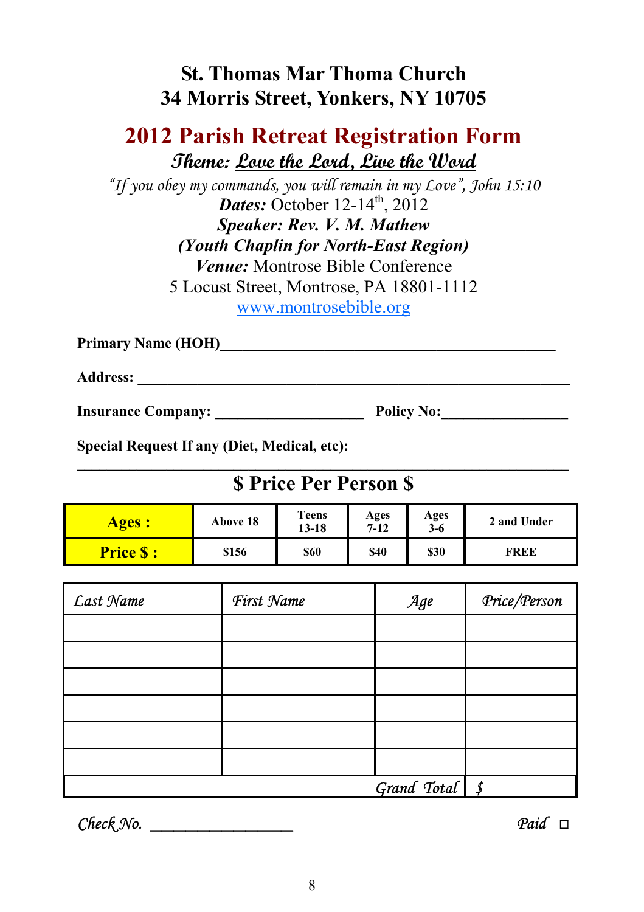#### **St. Thomas Mar Thoma Church 34 Morris Street, Yonkers, NY 10705**

#### **2012 Parish Retreat Registration Form Theme: Love the Lord, Live the Word**

*"If you obey my commands, you will remain in my Love", John 15:10 Dates:* October  $12-14^{\text{th}}$ ,  $2012$ *Speaker: Rev. V. M. Mathew (Youth Chaplin for North-East Region) Venue:* Montrose Bible Conference 5 Locust Street, Montrose, PA 18801-1112 www.montrosebible.org

**Primary Name (HOH)\_\_\_\_\_\_\_\_\_\_\_\_\_\_\_\_\_\_\_\_\_\_\_\_\_\_\_\_\_\_\_\_\_\_\_\_\_\_\_\_\_\_\_\_\_** 

**Address: \_\_\_\_\_\_\_\_\_\_\_\_\_\_\_\_\_\_\_\_\_\_\_\_\_\_\_\_\_\_\_\_\_\_\_\_\_\_\_\_\_\_\_\_\_\_\_\_\_\_\_\_\_\_\_\_\_\_** 

**Insurance Company: \_\_\_\_\_\_\_\_\_\_\_\_\_\_\_\_\_\_\_\_ Policy No:\_\_\_\_\_\_\_\_\_\_\_\_\_\_\_\_\_** 

**Special Request If any (Diet, Medical, etc):** 

#### $\mathcal{L} = \{ \mathcal{L} \mathcal{L} \mathcal{L} \mathcal{L} \mathcal{L} \mathcal{L} \mathcal{L} \mathcal{L} \mathcal{L} \mathcal{L} \mathcal{L} \mathcal{L} \mathcal{L} \mathcal{L} \mathcal{L} \mathcal{L} \mathcal{L} \mathcal{L} \mathcal{L} \mathcal{L} \mathcal{L} \mathcal{L} \mathcal{L} \mathcal{L} \mathcal{L} \mathcal{L} \mathcal{L} \mathcal{L} \mathcal{L} \mathcal{L} \mathcal{L} \mathcal{L} \mathcal{L} \mathcal{L} \mathcal{L} \$ **\$ Price Per Person \$**

| <b>Ages:</b>     | Above 18 | <b>Teens</b><br>13-18 | Ages<br>$7 - 12$ | Ages<br>$3-6$ | 2 and Under |
|------------------|----------|-----------------------|------------------|---------------|-------------|
| <b>Price S :</b> | \$156    | \$60                  | \$40             | \$30          | FREE        |

| Last Name | First Name | Age                | Price/Person |
|-----------|------------|--------------------|--------------|
|           |            |                    |              |
|           |            |                    |              |
|           |            |                    |              |
|           |            |                    |              |
|           |            |                    |              |
|           |            |                    |              |
|           |            | Grand Total $\int$ |              |

*Check No. \_\_\_\_\_\_\_\_\_\_\_\_ Paid* □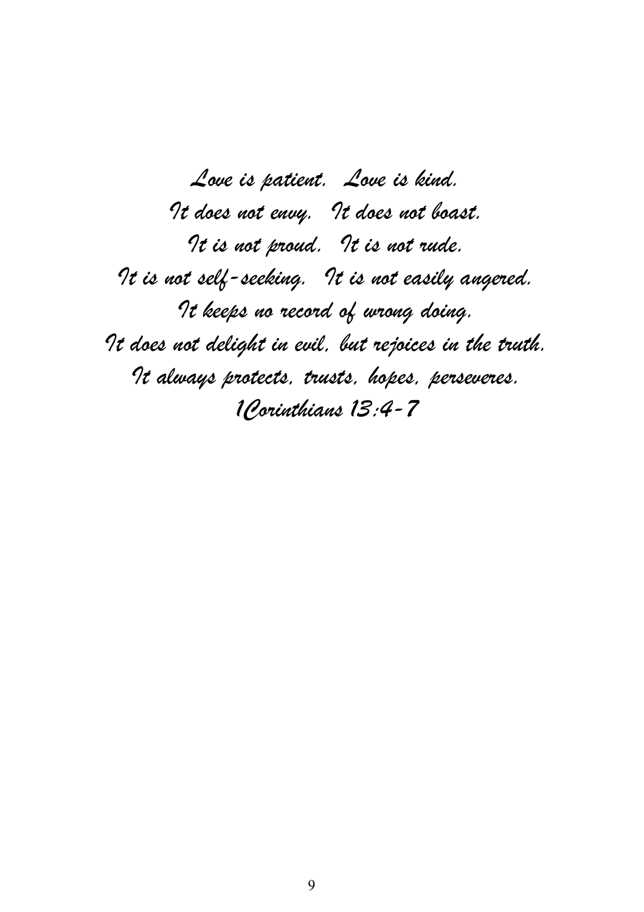*Love is patient. Love is kind. It does not envy. It does not boast. It is not proud. It is not rude. It is not self-seeking. It is not easily angered. It keeps no record of wrong doing. It does not delight in evil, but rejoices in the truth. It always protects, trusts, hopes, perseveres. 1Corinthians 13:4-7*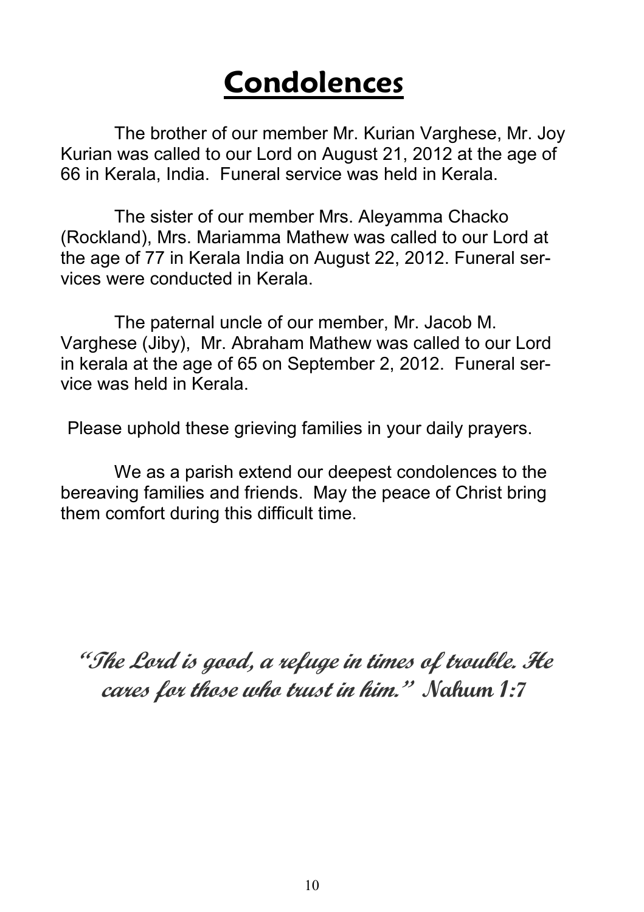# **Condolences**

The brother of our member Mr. Kurian Varghese, Mr. Joy Kurian was called to our Lord on August 21, 2012 at the age of 66 in Kerala, India. Funeral service was held in Kerala.

 The sister of our member Mrs. Aleyamma Chacko (Rockland), Mrs. Mariamma Mathew was called to our Lord at the age of 77 in Kerala India on August 22, 2012. Funeral services were conducted in Kerala.

 The paternal uncle of our member, Mr. Jacob M. Varghese (Jiby), Mr. Abraham Mathew was called to our Lord in kerala at the age of 65 on September 2, 2012. Funeral service was held in Kerala.

Please uphold these grieving families in your daily prayers.

 We as a parish extend our deepest condolences to the bereaving families and friends. May the peace of Christ bring them comfort during this difficult time.

**"The Lord is good, a refuge in times of trouble. He cares for those who trust in him." Nahum 1:7**